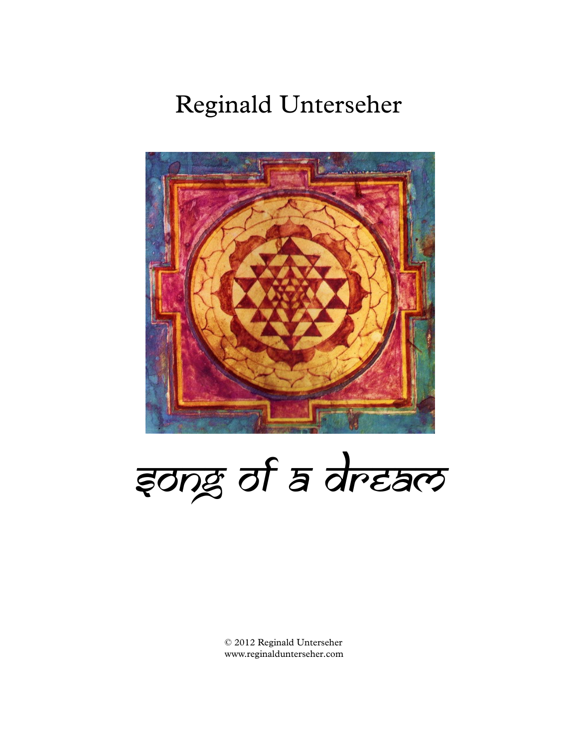## Reginald Unterseher



इong of a dream

© 2012 Reginald Unterseher www.reginaldunterseher.com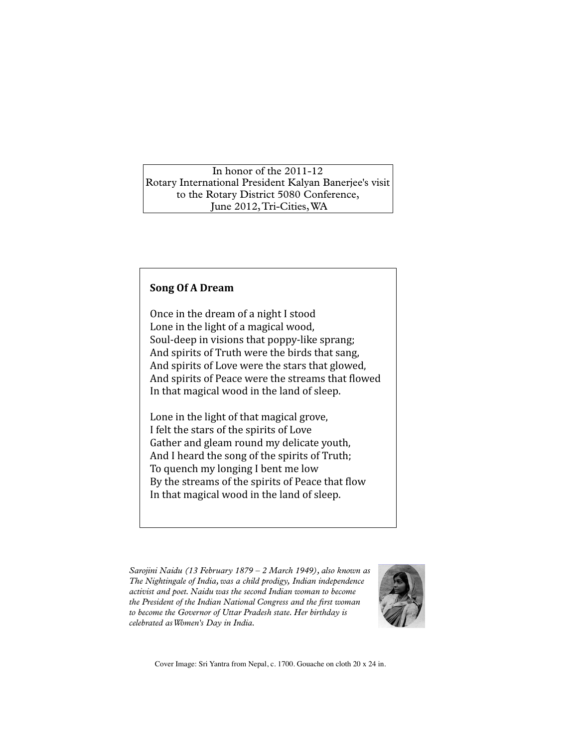## In honor of the 2011-12 Rotary International President Kalyan Banerjee's visit to the Rotary District 5080 Conference, June 2012,Tri-Cities,WA

## **Song OfA Dream**

Once in the dream of a night I stood First in the dream of a might i stood<br>Lone in the light of a magical wood,<br>Soul-deep in visions that poppy-like sp Soul-deep in visions that poppy-like sprang; And spirits of Truth were the birds that sang,<br>And spirits of Love were the stars that glowed And spirits of Love were the stars that glowed, And spirits of Peace were the streams that flowed In that magical wood in the land of sleep.

Lone in the light of that magical grove,<br>I folt the stars of the spirits of Love felt the stars of the spirits of Love First the stars of the spirits of hove<br>Gather and gleam round my delicate youth,<br>And I heard the song of the spirits of Truth. And I heard the song of the spirits of Truth; This Theat's the song of the spirits of Trath,<br>To quench my longing I bent me low be quenching being a bend me tow<br>By the streams of the spirits of Peace that flow By the streams of the spirits of redee that he<br>In that magical wood in the land of sleep.

*Sarojini Naidu (13 February 1879 – 2 March 1949), also known as The Nightingale of India,was a child prodigy, Indian independence activist and poet. Naidu was the second Indian woman to become the President of the Indian National Congress and the first woman to become the Governor of Uttar Pradesh state. Her birthday is celebrated asWomen's Day in India.*



Cover Image: Sri Yantra from Nepal, c. 1700. Gouache on cloth <sup>20</sup> <sup>x</sup> <sup>24</sup> in.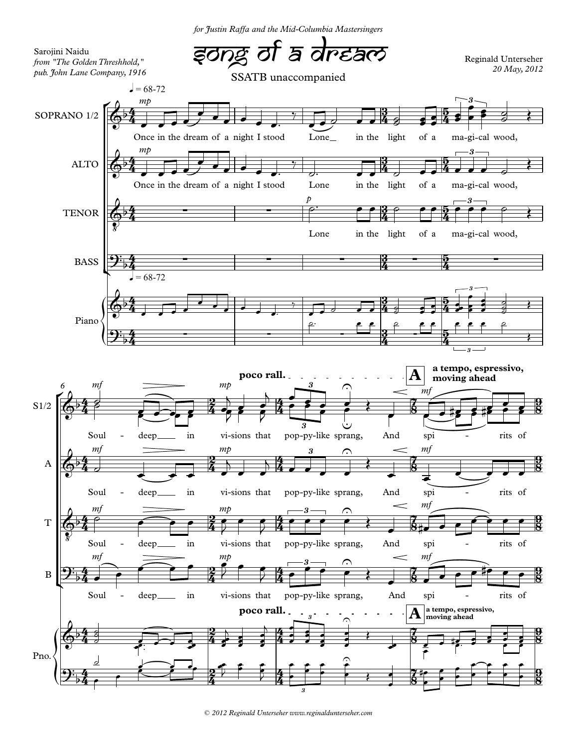*for Justin Raffa and the Mid-Columbia Mastersingers*



*© 2012 Reginald Unterseher www.reginaldunterseher.com*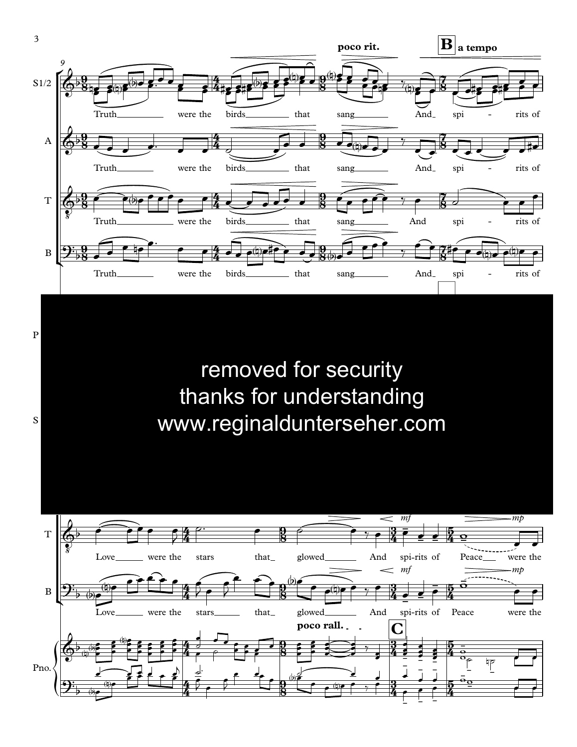

- - - -<br>-

-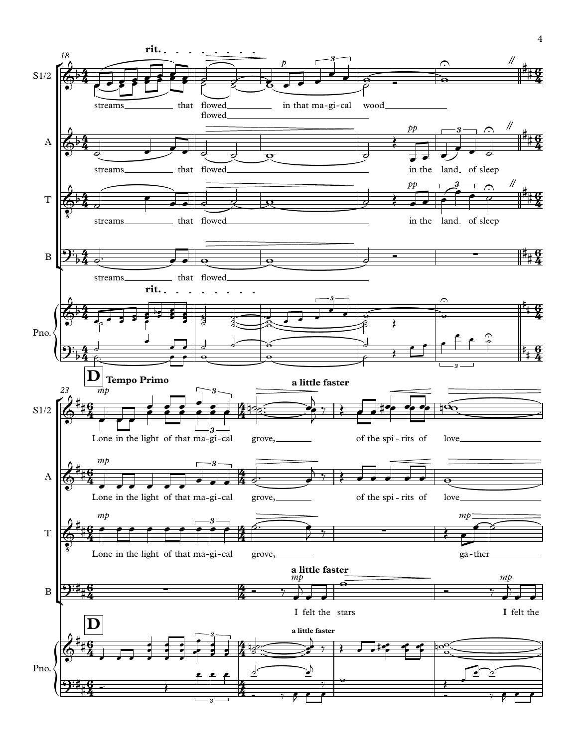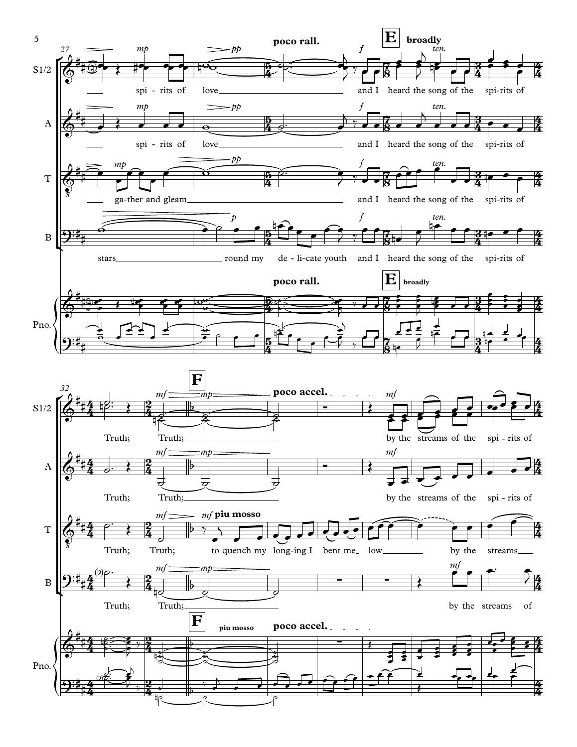